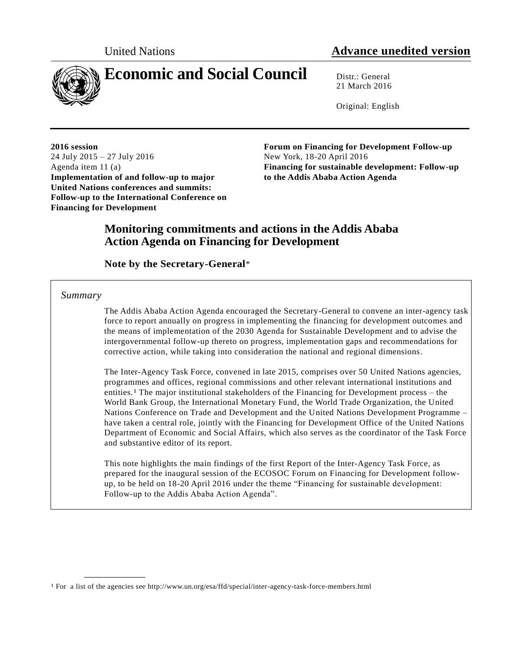

# **Economic and Social Council** Distr.: General

21 March 2016

Original: English

**2016 session** 24 July 2015 – 27 July 2016 Agenda item 11 (a) **Implementation of and follow-up to major United Nations conferences and summits: Follow-up to the International Conference on Financing for Development**

**Forum on Financing for Development Follow-up** New York, 18-20 April 2016 **Financing for sustainable development: Follow-up to the Addis Ababa Action Agenda** 

# **Monitoring commitments and actions in the Addis Ababa Action Agenda on Financing for Development**

# **Note by the Secretary-General**\*

*Summary*

**\_\_\_\_\_\_\_\_\_\_\_\_\_\_\_\_\_\_**

The Addis Ababa Action Agenda encouraged the Secretary-General to convene an inter-agency task force to report annually on progress in implementing the financing for development outcomes and the means of implementation of the 2030 Agenda for Sustainable Development and to advise the intergovernmental follow-up thereto on progress, implementation gaps and recommendations for corrective action, while taking into consideration the national and regional dimensions.

The Inter-Agency Task Force, convened in late 2015, comprises over 50 United Nations agencies, programmes and offices, regional commissions and other relevant international institutions and entities.1 The major institutional stakeholders of the Financing for Development process – the World Bank Group, the International Monetary Fund, the World Trade Organization, the United Nations Conference on Trade and Development and the United Nations Development Programme – have taken a central role, jointly with the Financing for Development Office of the United Nations Department of Economic and Social Affairs, which also serves as the coordinator of the Task Force and substantive editor of its report.

This note highlights the main findings of the first Report of the Inter-Agency Task Force, as prepared for the inaugural session of the ECOSOC Forum on Financing for Development followup, to be held on 18-20 April 2016 under the theme "Financing for sustainable development: Follow-up to the Addis Ababa Action Agenda".

<sup>1</sup> For a list of the agencies see http://www.un.org/esa/ffd/special/inter-agency-task-force-members.html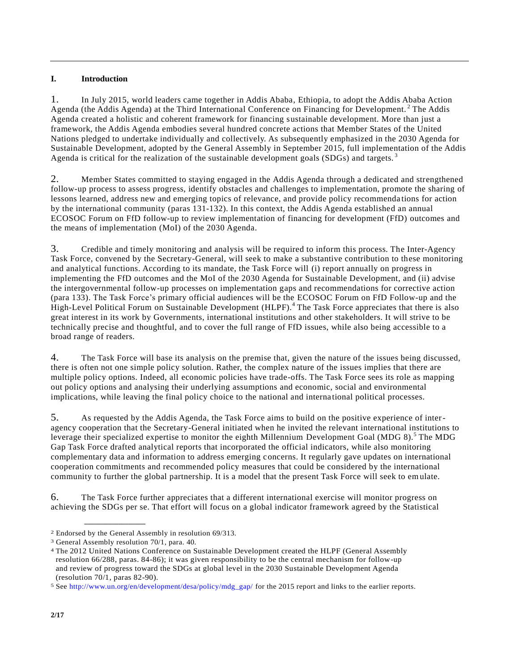# **I. Introduction**

1. In July 2015, world leaders came together in Addis Ababa, Ethiopia, to adopt the Addis Ababa Action Agenda (the Addis Agenda) at the Third International Conference on Financing for Development.<sup>2</sup> The Addis Agenda created a holistic and coherent framework for financing sustainable development. More than just a framework, the Addis Agenda embodies several hundred concrete actions that Member States of the United Nations pledged to undertake individually and collectively. As subsequently emphasized in the 2030 Agenda for Sustainable Development, adopted by the General Assembly in September 2015, full implementation of the Addis Agenda is critical for the realization of the sustainable development goals ( $SDGs$ ) and targets.<sup>3</sup>

2. Member States committed to staying engaged in the Addis Agenda through a dedicated and strengthened follow-up process to assess progress, identify obstacles and challenges to implementation, promote the sharing of lessons learned, address new and emerging topics of relevance, and provide policy recommenda tions for action by the international community (paras 131-132). In this context, the Addis Agenda established an annual ECOSOC Forum on FfD follow-up to review implementation of financing for development (FfD) outcomes and the means of implementation (MoI) of the 2030 Agenda.

3. Credible and timely monitoring and analysis will be required to inform this process. The Inter-Agency Task Force, convened by the Secretary-General, will seek to make a substantive contribution to these monitoring and analytical functions. According to its mandate, the Task Force will (i) report annually on progress in implementing the FfD outcomes and the MoI of the 2030 Agenda for Sustainable Development, and (ii) advise the intergovernmental follow-up processes on implementation gaps and recommendations for corrective action (para 133). The Task Force's primary official audiences will be the ECOSOC Forum on FfD Follow-up and the High-Level Political Forum on Sustainable Development (HLPF).<sup>4</sup> The Task Force appreciates that there is also great interest in its work by Governments, international institutions and other stakeholders. It will strive to be technically precise and thoughtful, and to cover the full range of FfD issues, while also being accessible to a broad range of readers.

4. The Task Force will base its analysis on the premise that, given the nature of the issues being discussed, there is often not one simple policy solution. Rather, the complex nature of the issues implies that there are multiple policy options. Indeed, all economic policies have trade-offs. The Task Force sees its role as mapping out policy options and analysing their underlying assumptions and economic, social and environmental implications, while leaving the final policy choice to the national and interna tional political processes.

5. As requested by the Addis Agenda, the Task Force aims to build on the positive experience of interagency cooperation that the Secretary-General initiated when he invited the relevant international institutions to leverage their specialized expertise to monitor the eighth Millennium Development Goal (MDG 8).<sup>5</sup> The MDG Gap Task Force drafted analytical reports that incorporated the official indicators, while also monitoring complementary data and information to address emerging concerns. It regularly gave updates on international cooperation commitments and recommended policy measures that could be considered by the international community to further the global partnership. It is a model that the present Task Force will seek to emulate.

6. The Task Force further appreciates that a different international exercise will monitor progress on achieving the SDGs per se. That effort will focus on a global indicator framework agreed by the Statistical

**\_\_\_\_\_\_\_\_\_\_\_\_\_\_\_\_\_\_**

<sup>2</sup> Endorsed by the General Assembly in resolution 69/313.

<sup>3</sup> General Assembly resolution 70/1, para. 40.

<sup>4</sup> The 2012 United Nations Conference on Sustainable Development created the HLPF (General Assembly resolution 66/288, paras. 84-86); it was given responsibility to be the central mechanism for follow-up and review of progress toward the SDGs at global level in the 2030 Sustainable Development Agenda (resolution 70/1, paras 82-90).

<sup>5</sup> See [http://www.un.org/en/development/desa/policy/mdg\\_gap/](http://www.un.org/en/development/desa/policy/mdg_gap/) for the 2015 report and links to the earlier reports.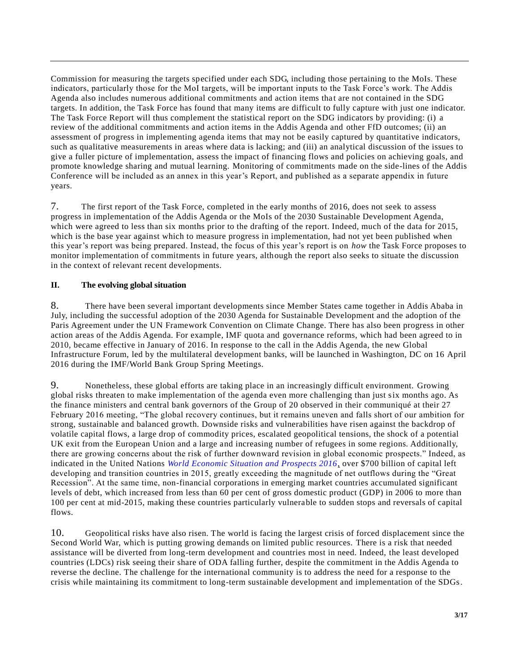Commission for measuring the targets specified under each SDG, including those pertaining to the MoIs. These indicators, particularly those for the MoI targets, will be important inputs to the Task Force's work. The Addis Agenda also includes numerous additional commitments and action items tha t are not contained in the SDG targets. In addition, the Task Force has found that many items are difficult to fully capture with just one indicator. The Task Force Report will thus complement the statistical report on the SDG indicators by providing: (i) a review of the additional commitments and action items in the Addis Agenda and other FfD outcomes; (ii) an assessment of progress in implementing agenda items that may not be easily captured by quantitative indicators, such as qualitative measurements in areas where data is lacking; and (iii) an analytical discussion of the issues to give a fuller picture of implementation, assess the impact of financing flows and policies on achieving goals, and promote knowledge sharing and mutual learning. Monitoring of commitments made on the side-lines of the Addis Conference will be included as an annex in this year's Report, and published as a separate appendix in future years.

7. The first report of the Task Force, completed in the early months of 2016, does not seek to assess progress in implementation of the Addis Agenda or the MoIs of the 2030 Sustainable Development Agenda, which were agreed to less than six months prior to the drafting of the report. Indeed, much of the data for 2015, which is the base year against which to measure progress in implementation, had not yet been published when this year's report was being prepared. Instead, the focus of this year's report is on *how* the Task Force proposes to monitor implementation of commitments in future years, although the report also seeks to situate the discussion in the context of relevant recent developments.

# **II. The evolving global situation**

8. There have been several important developments since Member States came together in Addis Ababa in July, including the successful adoption of the 2030 Agenda for Sustainable Development and the adoption of the Paris Agreement under the UN Framework Convention on Climate Change. There has also been progress in other action areas of the Addis Agenda. For example, IMF quota and governance reforms, which had been agreed to in 2010, became effective in January of 2016. In response to the call in the Addis Agenda, the new Global Infrastructure Forum, led by the multilateral development banks, will be launched in Washington, DC on 16 April 2016 during the IMF/World Bank Group Spring Meetings.

9. Nonetheless, these global efforts are taking place in an increasingly difficult environment. Growing global risks threaten to make implementation of the agenda even more challenging than just six months ago. As the finance ministers and central bank governors of the Group of 20 observed in their communiqué at their 27 February 2016 meeting, "The global recovery continues, but it remains uneven and falls short of our ambition for strong, sustainable and balanced growth. Downside risks and vulnerabilities have risen against the backdrop of volatile capital flows, a large drop of commodity prices, escalated geopolitical tensions, the shock of a potential UK exit from the European Union and a large and increasing number of refugees in some regions. Additionally, there are growing concerns about the risk of further downward revision in global economic prospects." Indeed, as indicated in the United Nations *[World Economic Situation and Prospects 2016,](http://www.un.org/en/development/desa/policy/wesp/index.shtml)* over \$700 billion of capital left developing and transition countries in 2015, greatly exceeding the magnitude of net outflows during the "Great Recession". At the same time, non-financial corporations in emerging market countries accumulated significant levels of debt, which increased from less than 60 per cent of gross domestic product (GDP) in 2006 to more than 100 per cent at mid-2015, making these countries particularly vulnerable to sudden stops and reversals of capital flows.

10. Geopolitical risks have also risen. The world is facing the largest crisis of forced displacement since the Second World War, which is putting growing demands on limited public resources. There is a risk that needed assistance will be diverted from long-term development and countries most in need. Indeed, the least developed countries (LDCs) risk seeing their share of ODA falling further, despite the commitment in the Addis Agenda to reverse the decline. The challenge for the international community is to address the need for a response to the crisis while maintaining its commitment to long-term sustainable development and implementation of the SDGs.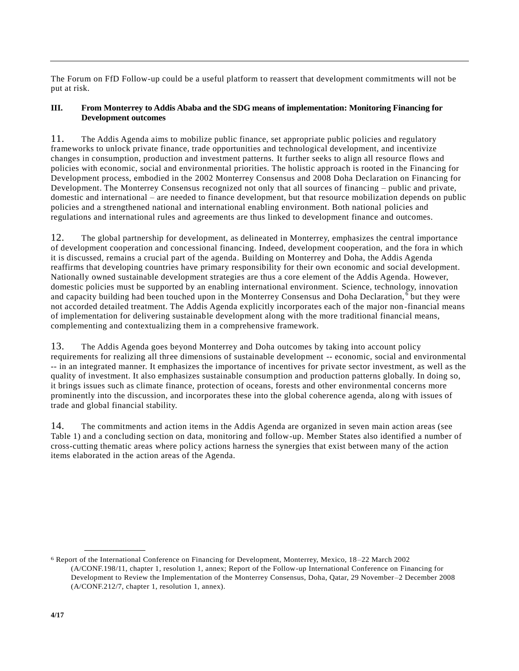The Forum on FfD Follow-up could be a useful platform to reassert that development commitments will not be put at risk.

### **III. From Monterrey to Addis Ababa and the SDG means of implementation: Monitoring Financing for Development outcomes**

11. The Addis Agenda aims to mobilize public finance, set appropriate public policies and regulatory frameworks to unlock private finance, trade opportunities and technological development, and incentivize changes in consumption, production and investment patterns. It further seeks to align all resource flows and policies with economic, social and environmental priorities. The holistic approach is rooted in the Financing for Development process, embodied in the 2002 Monterrey Consensus and 2008 Doha Declaration on Financing for Development. The Monterrey Consensus recognized not only that all sources of financing – public and private, domestic and international – are needed to finance development, but that resource mobilization depends on public policies and a strengthened national and international enabling environment. Both national policies and regulations and international rules and agreements are thus linked to development finance and outcomes.

12. The global partnership for development, as delineated in Monterrey, emphasizes the central importance of development cooperation and concessional financing. Indeed, development cooperation, and the fora in which it is discussed, remains a crucial part of the agenda. Building on Monterrey and Doha, the Addis Agenda reaffirms that developing countries have primary responsibility for their own economic and social development. Nationally owned sustainable development strategies are thus a core element of the Addis Agenda. However, domestic policies must be supported by an enabling international environment. Science, technology, innovation and capacity building had been touched upon in the Monterrey Consensus and Doha Declaration,  $\overline{6}$  but they were not accorded detailed treatment. The Addis Agenda explicitly incorporates each of the major non -financial means of implementation for delivering sustainable development along with the more traditional financial means, complementing and contextualizing them in a comprehensive framework.

13. The Addis Agenda goes beyond Monterrey and Doha outcomes by taking into account policy requirements for realizing all three dimensions of sustainable development -- economic, social and environmental -- in an integrated manner. It emphasizes the importance of incentives for private sector investment, as well as the quality of investment. It also emphasizes sustainable consumption and production patterns globally. In doing so, it brings issues such as climate finance, protection of oceans, forests and other environmental concerns more prominently into the discussion, and incorporates these into the global coherence agenda, alo ng with issues of trade and global financial stability.

14. The commitments and action items in the Addis Agenda are organized in seven main action areas (see Table 1) and a concluding section on data, monitoring and follow-up. Member States also identified a number of cross-cutting thematic areas where policy actions harness the synergies that exist between many of the action items elaborated in the action areas of the Agenda.

**\_\_\_\_\_\_\_\_\_\_\_\_\_\_\_\_\_\_**

<sup>6</sup> Report of the International Conference on Financing for Development, Monterrey, Mexico, 18 –22 March 2002 (A/CONF.198/11, chapter 1, resolution 1, annex; Report of the Follow-up International Conference on Financing for Development to Review the Implementation of the Monterrey Consensus, Doha, Qatar, 29 November–2 December 2008 (A/CONF.212/7, chapter 1, resolution 1, annex).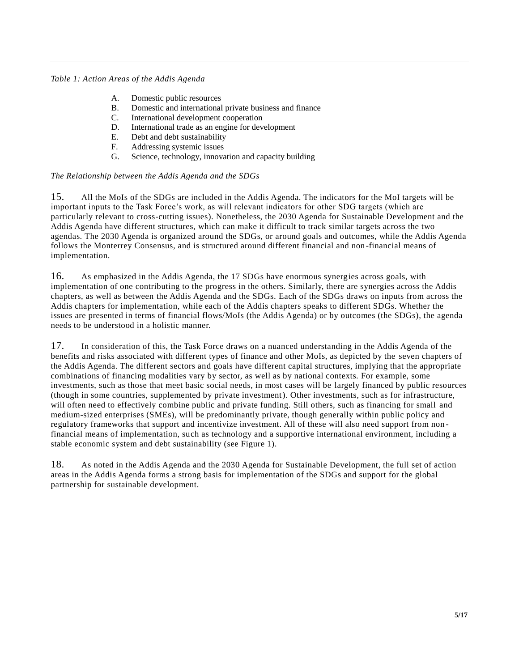### *Table 1: Action Areas of the Addis Agenda*

- A. Domestic public resources
- B. Domestic and international private business and finance
- C. International development cooperation
- D. International trade as an engine for development
- E. Debt and debt sustainability
- F. Addressing systemic issues
- G. Science, technology, innovation and capacity building

### *The Relationship between the Addis Agenda and the SDGs*

15. All the MoIs of the SDGs are included in the Addis Agenda. The indicators for the MoI targets will be important inputs to the Task Force's work, as will relevant indicators for other SDG targets (which are particularly relevant to cross-cutting issues). Nonetheless, the 2030 Agenda for Sustainable Development and the Addis Agenda have different structures, which can make it difficult to track similar targets across the two agendas. The 2030 Agenda is organized around the SDGs, or around goals and outcomes, while the Addis Agenda follows the Monterrey Consensus, and is structured around different financial and non -financial means of implementation.

16. As emphasized in the Addis Agenda, the 17 SDGs have enormous synergies across goals, with implementation of one contributing to the progress in the others. Similarly, there are synergies across the Addis chapters, as well as between the Addis Agenda and the SDGs. Each of the SDGs draws on inputs from across the Addis chapters for implementation, while each of the Addis chapters speaks to different SDGs. Whether the issues are presented in terms of financial flows/MoIs (the Addis Agenda) or by outcomes (the SDGs), the agenda needs to be understood in a holistic manner.

17. In consideration of this, the Task Force draws on a nuanced understanding in the Addis Agenda of the benefits and risks associated with different types of finance and other MoIs, as depicted by the seven chapters of the Addis Agenda. The different sectors and goals have different capital structures, implying that the appropriate combinations of financing modalities vary by sector, as well as by national contexts. For example, some investments, such as those that meet basic social needs, in most cases will be largely financed by public resources (though in some countries, supplemented by private investment). Other investments, such as for infrastructure, will often need to effectively combine public and private funding. Still others, such as financing for small and medium-sized enterprises (SMEs), will be predominantly private, though generally within public policy and regulatory frameworks that support and incentivize investment. All of these will also need support from non financial means of implementation, such as technology and a supportive international environment, including a stable economic system and debt sustainability (see Figure 1).

18. As noted in the Addis Agenda and the 2030 Agenda for Sustainable Development, the full set of action areas in the Addis Agenda forms a strong basis for implementation of the SDGs and support for the global partnership for sustainable development.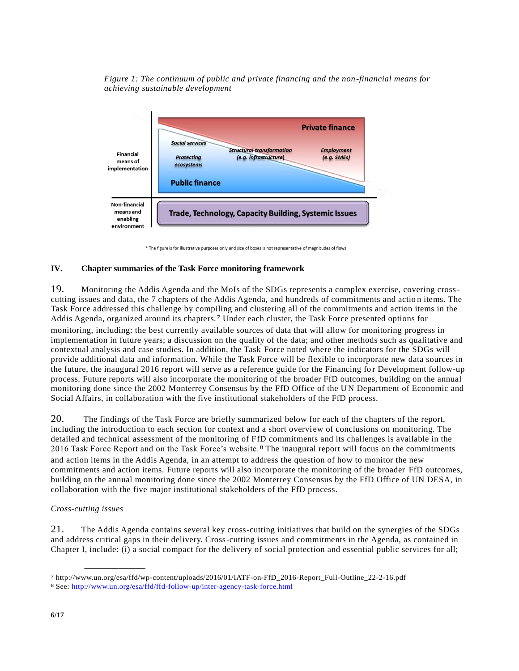*Figure 1: The continuum of public and private financing and the non-financial means for achieving sustainable development*



\* The figure is for illustrative purposes only and size of boxes is not representative of magnitudes of flows

#### **IV. Chapter summaries of the Task Force monitoring framework**

19. Monitoring the Addis Agenda and the MoIs of the SDGs represents a complex exercise, covering crosscutting issues and data, the 7 chapters of the Addis Agenda, and hundreds of commitments and actio n items. The Task Force addressed this challenge by compiling and clustering all of the commitments and action items in the Addis Agenda, organized around its chapters.7 Under each cluster, the Task Force presented options for monitoring, including: the best currently available sources of data that will allow for monitoring progress in implementation in future years; a discussion on the quality of the data; and other methods such as qualitative and contextual analysis and case studies. In addition, the Task Force noted where the indicators for the SDGs will provide additional data and information. While the Task Force will be flexible to incorporate new data sources in the future, the inaugural 2016 report will serve as a reference guide for the Financing for Development follow-up process. Future reports will also incorporate the monitoring of the broader FfD outcomes, building on the annual monitoring done since the 2002 Monterrey Consensus by the FfD Office of the UN Department of Economic and Social Affairs, in collaboration with the five institutional stakeholders of the FfD process.

20. The findings of the Task Force are briefly summarized below for each of the chapters of the report, including the introduction to each section for context and a short overview of conclusions on monitoring. The detailed and technical assessment of the monitoring of FfD commitments and its challenges is available in the 2016 Task Force Report and on the Task Force's website.8 The inaugural report will focus on the commitments and action items in the Addis Agenda, in an attempt to address the question of how to monitor the new commitments and action items. Future reports will also incorporate the monitoring of the broader FfD outcomes, building on the annual monitoring done since the 2002 Monterrey Consensus by the FfD Office of UN DESA, in collaboration with the five major institutional stakeholders of the FfD process.

#### *Cross-cutting issues*

**\_\_\_\_\_\_\_\_\_\_\_\_\_\_\_\_\_\_**

21. The Addis Agenda contains several key cross-cutting initiatives that build on the synergies of the SDGs and address critical gaps in their delivery. Cross-cutting issues and commitments in the Agenda, as contained in Chapter I, include: (i) a social compact for the delivery of social protection and essential public services for all;

<sup>7</sup> http://www.un.org/esa/ffd/wp-content/uploads/2016/01/IATF-on-FfD\_2016-Report\_Full-Outline\_22-2-16.pdf

<sup>8</sup> See:<http://www.un.org/esa/ffd/ffd-follow-up/inter-agency-task-force.html>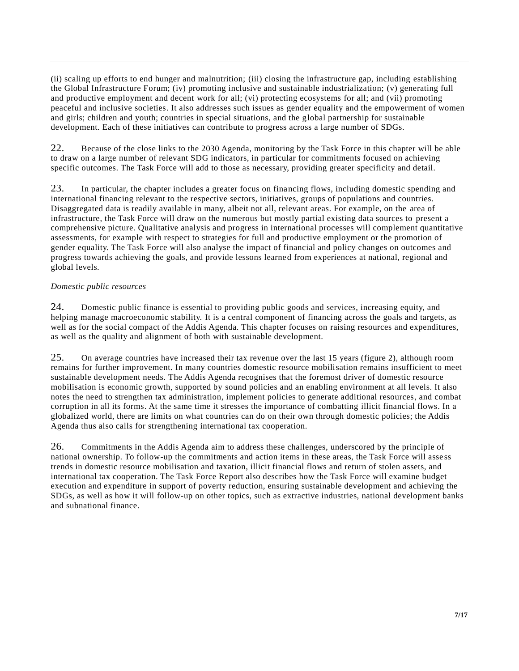(ii) scaling up efforts to end hunger and malnutrition; (iii) closing the infrastructure gap, including establishing the Global Infrastructure Forum; (iv) promoting inclusive and sustainable industrialization; (v) generating full and productive employment and decent work for all; (vi) protecting ecosystems for all; and (vii) promoting peaceful and inclusive societies. It also addresses such issues as gender equality and the empowerment of women and girls; children and youth; countries in special situations, and the global partnership for sustainable development. Each of these initiatives can contribute to progress across a large number of SDGs.

22. Because of the close links to the 2030 Agenda, monitoring by the Task Force in this chapter will be able to draw on a large number of relevant SDG indicators, in particular for commitments focused on achieving specific outcomes. The Task Force will add to those as necessary, providing greater specificity and detail.

23. In particular, the chapter includes a greater focus on financing flows, including domestic spending and international financing relevant to the respective sectors, initiatives, groups of populations and countries. Disaggregated data is readily available in many, albeit not all, relevant areas. For example, on the area of infrastructure, the Task Force will draw on the numerous but mostly partial existing data sources to present a comprehensive picture. Qualitative analysis and progress in international processes will complement quantitative assessments, for example with respect to strategies for full and productive employment or the promotion of gender equality. The Task Force will also analyse the impact of financial and policy changes on outcomes and progress towards achieving the goals, and provide lessons learned from experiences at national, regional and global levels.

# *Domestic public resources*

24. Domestic public finance is essential to providing public goods and services, increasing equity, and helping manage macroeconomic stability. It is a central component of financing across the goals and targets, as well as for the social compact of the Addis Agenda. This chapter focuses on raising resources and expenditures, as well as the quality and alignment of both with sustainable development.

25. On average countries have increased their tax revenue over the last 15 years (figure 2), although room remains for further improvement. In many countries domestic resource mobilisation remains insufficient to meet sustainable development needs. The Addis Agenda recognises that the foremost driver of domestic resource mobilisation is economic growth, supported by sound policies and an enabling environment at all levels. It also notes the need to strengthen tax administration, implement policies to generate additional resources, and combat corruption in all its forms. At the same time it stresses the importance of combatting illicit financial flows. In a globalized world, there are limits on what countries can do on their own through domestic policies; the Addis Agenda thus also calls for strengthening international tax cooperation.

26. Commitments in the Addis Agenda aim to address these challenges, underscored by the principle of national ownership. To follow-up the commitments and action items in these areas, the Task Force will asse ss trends in domestic resource mobilisation and taxation, illicit financial flows and return of stolen assets, and international tax cooperation. The Task Force Report also describes how the Task Force will examine budget execution and expenditure in support of poverty reduction, ensuring sustainable development and achieving the SDGs, as well as how it will follow-up on other topics, such as extractive industries, national development banks and subnational finance.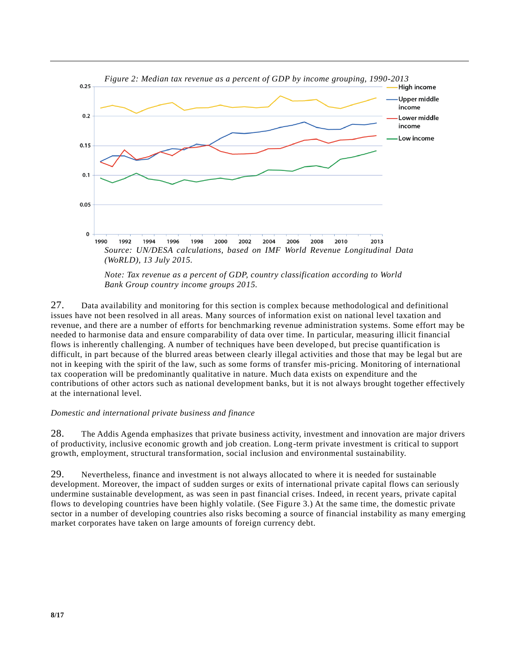

*Note: Tax revenue as a percent of GDP, country classification according to World Bank Group country income groups 2015.*

27. Data availability and monitoring for this section is complex because methodological and definitional issues have not been resolved in all areas. Many sources of information exist on national level taxation and revenue, and there are a number of efforts for benchmarking revenue administration systems. Some effort may be needed to harmonise data and ensure comparability of data over time. In particular, measuring illicit financial flows is inherently challenging. A number of techniques have been developed, but precise quantification is difficult, in part because of the blurred areas between clearly illegal activities and those that may be legal but are not in keeping with the spirit of the law, such as some forms of transfer mis-pricing. Monitoring of international tax cooperation will be predominantly qualitative in nature. Much data exists on expenditure and the contributions of other actors such as national development banks, but it is not always brought together effectively at the international level.

#### *Domestic and international private business and finance*

28. The Addis Agenda emphasizes that private business activity, investment and innovation are major drivers of productivity, inclusive economic growth and job creation. Long-term private investment is critical to support growth, employment, structural transformation, social inclusion and environmental sustainability.

29. Nevertheless, finance and investment is not always allocated to where it is needed for sustainable development. Moreover, the impact of sudden surges or exits of international private capital flows can seriously undermine sustainable development, as was seen in past financial crises. Indeed, in recent years, private capital flows to developing countries have been highly volatile. (See Figure 3.) At the same time, the domestic private sector in a number of developing countries also risks becoming a source of financial instability as many emerging market corporates have taken on large amounts of foreign currency debt.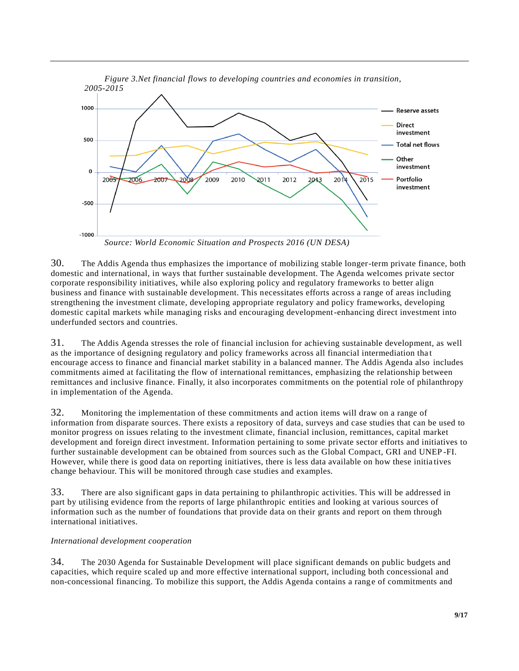

*Source: World Economic Situation and Prospects 2016 (UN DESA)*

30. The Addis Agenda thus emphasizes the importance of mobilizing stable longer-term private finance, both domestic and international, in ways that further sustainable development. The Agenda welcomes private sector corporate responsibility initiatives, while also exploring policy and regulatory frameworks to better align business and finance with sustainable development. This necessitates efforts across a range of areas including strengthening the investment climate, developing appropriate regulatory and policy frameworks, developing domestic capital markets while managing risks and encouraging development-enhancing direct investment into underfunded sectors and countries.

31. The Addis Agenda stresses the role of financial inclusion for achieving sustainable development, as well as the importance of designing regulatory and policy frameworks across all financial intermediation tha t encourage access to finance and financial market stability in a balanced manner. The Addis Agenda also includes commitments aimed at facilitating the flow of international remittances, emphasizing the relationship between remittances and inclusive finance. Finally, it also incorporates commitments on the potential role of philanthropy in implementation of the Agenda.

32. Monitoring the implementation of these commitments and action items will draw on a range of information from disparate sources. There exists a repository of data, surveys and case studies that can be used to monitor progress on issues relating to the investment climate, financial inclusion, remittances, capital market development and foreign direct investment. Information pertaining to some private sector efforts and initiatives to further sustainable development can be obtained from sources such as the Global Compact, GRI and UNEP -FI. However, while there is good data on reporting initiatives, there is less data available on how these initia tives change behaviour. This will be monitored through case studies and examples.

33. There are also significant gaps in data pertaining to philanthropic activities. This will be addressed in part by utilising evidence from the reports of large philanthropic entities and looking at various sources of information such as the number of foundations that provide data on their grants and report on them through international initiatives.

### *International development cooperation*

34. The 2030 Agenda for Sustainable Development will place significant demands on public budgets and capacities, which require scaled up and more effective international support, including both concessional and non-concessional financing. To mobilize this support, the Addis Agenda contains a range of commitments and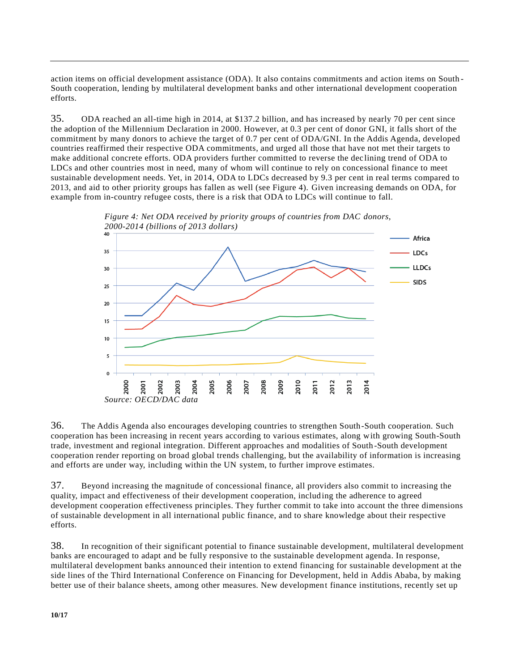action items on official development assistance (ODA). It also contains commitments and action items on South - South cooperation, lending by multilateral development banks and other international development cooperation efforts.

35. ODA reached an all-time high in 2014, at \$137.2 billion, and has increased by nearly 70 per cent since the adoption of the Millennium Declaration in 2000. However, at 0.3 per cent of donor GNI, it falls short of the commitment by many donors to achieve the target of 0.7 per cent of ODA/GNI. In the Addis Agenda, developed countries reaffirmed their respective ODA commitments, and urged all those that have not met their targets to make additional concrete efforts. ODA providers further committed to reverse the dec lining trend of ODA to LDCs and other countries most in need, many of whom will continue to rely on concessional finance to meet sustainable development needs. Yet, in 2014, ODA to LDCs decreased by 9.3 per cent in real terms compared to 2013, and aid to other priority groups has fallen as well (see Figure 4). Given increasing demands on ODA, for example from in-country refugee costs, there is a risk that ODA to LDCs will continue to fall.



*Figure 4: Net ODA received by priority groups of countries from DAC donors,* 

36. The Addis Agenda also encourages developing countries to strengthen South-South cooperation. Such cooperation has been increasing in recent years according to various estimates, along with growing South-South trade, investment and regional integration. Different approaches and modalities of South -South development cooperation render reporting on broad global trends challenging, but the availability of information is increasing and efforts are under way, including within the UN system, to further improve estimates.

37. Beyond increasing the magnitude of concessional finance, all providers also commit to increasing the quality, impact and effectiveness of their development cooperation, includ ing the adherence to agreed development cooperation effectiveness principles. They further commit to take into account the three dimensions of sustainable development in all international public finance, and to share knowledge about their respective efforts.

38. In recognition of their significant potential to finance sustainable development, multilateral development banks are encouraged to adapt and be fully responsive to the sustainable development agenda. In response, multilateral development banks announced their intention to extend financing for sustainable development at the side lines of the Third International Conference on Financing for Development, held in Addis Ababa, by making better use of their balance sheets, among other measures. New development finance institutions, recently set up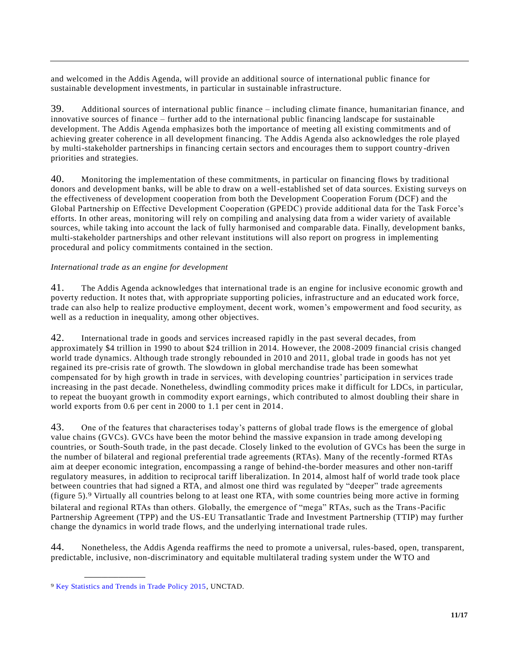and welcomed in the Addis Agenda, will provide an additional source of international public finance for sustainable development investments, in particular in sustainable infrastructure.

39. Additional sources of international public finance – including climate finance, humanitarian finance, and innovative sources of finance – further add to the international public financing landscape for sustainable development. The Addis Agenda emphasizes both the importance of meeting all existing commitments and of achieving greater coherence in all development financing. The Addis Agenda also acknowledges the role played by multi-stakeholder partnerships in financing certain sectors and encourages them to support country -driven priorities and strategies.

40. Monitoring the implementation of these commitments, in particular on financing flows by traditional donors and development banks, will be able to draw on a well-established set of data sources. Existing surveys on the effectiveness of development cooperation from both the Development Cooperation Forum (DCF) and the Global Partnership on Effective Development Cooperation (GPEDC) provide additional data for the Task Force's efforts. In other areas, monitoring will rely on compiling and analysing data from a wider variety of available sources, while taking into account the lack of fully harmonised and comparable data. Finally, development banks, multi-stakeholder partnerships and other relevant institutions will also report on progress in implementing procedural and policy commitments contained in the section.

# *International trade as an engine for development*

41. The Addis Agenda acknowledges that international trade is an engine for inclusive economic growth and poverty reduction. It notes that, with appropriate supporting policies, infrastructure and an educated work force, trade can also help to realize productive employment, decent work, women's empowerment and food security, as well as a reduction in inequality, among other objectives.

42. International trade in goods and services increased rapidly in the past several decades, from approximately \$4 trillion in 1990 to about \$24 trillion in 2014. However, the 2008 -2009 financial crisis changed world trade dynamics. Although trade strongly rebounded in 2010 and 2011, global trade in goods has not yet regained its pre-crisis rate of growth. The slowdown in global merchandise trade has been somewhat compensated for by high growth in trade in services, with developing countries' participation in services trade increasing in the past decade. Nonetheless, dwindling commodity prices make it difficult for LDCs, in particular, to repeat the buoyant growth in commodity export earnings, which contributed to almost doubling their share in world exports from 0.6 per cent in 2000 to 1.1 per cent in 2014.

43. One of the features that characterises today's patterns of global trade flows is the emergence of global value chains (GVCs). GVCs have been the motor behind the massive expansion in trade among developi ng countries, or South-South trade, in the past decade. Closely linked to the evolution of GVCs has been the surge in the number of bilateral and regional preferential trade agreements (RTAs). Many of the recently -formed RTAs aim at deeper economic integration, encompassing a range of behind-the-border measures and other non-tariff regulatory measures, in addition to reciprocal tariff liberalization. In 2014, almost half of world trade took place between countries that had signed a RTA, and almost one third was regulated by "deeper" trade agreements (figure 5).9 Virtually all countries belong to at least one RTA, with some countries being more active in forming bilateral and regional RTAs than others. Globally, the emergence of "mega" RTAs, such as the Trans-Pacific Partnership Agreement (TPP) and the US-EU Transatlantic Trade and Investment Partnership (TTIP) may further change the dynamics in world trade flows, and the underlying international trade rules.

44. Nonetheless, the Addis Agenda reaffirms the need to promote a universal, rules-based, open, transparent, predictable, inclusive, non-discriminatory and equitable multilateral trading system under the WTO and

**\_\_\_\_\_\_\_\_\_\_\_\_\_\_\_\_\_\_**

<sup>9</sup> [Key Statistics and Trends in Trade Policy 2015,](http://unctad.org/en/PublicationsLibrary/ditctab2015d2_en.pdf) UNCTAD.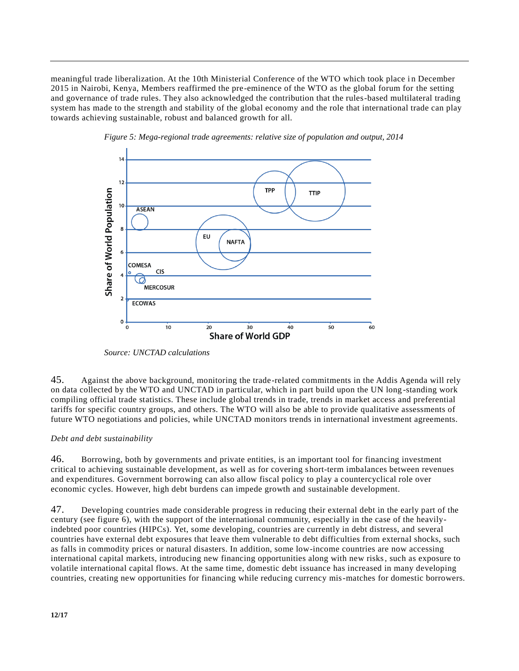meaningful trade liberalization. At the 10th Ministerial Conference of the WTO which took place in December 2015 in Nairobi, Kenya, Members reaffirmed the pre-eminence of the WTO as the global forum for the setting and governance of trade rules. They also acknowledged the contribution that the rules-based multilateral trading system has made to the strength and stability of the global economy and the role that international trade can play towards achieving sustainable, robust and balanced growth for all.





*Source: UNCTAD calculations*

45. Against the above background, monitoring the trade-related commitments in the Addis Agenda will rely on data collected by the WTO and UNCTAD in particular, which in part build upon the UN long -standing work compiling official trade statistics. These include global trends in trade, trends in market access and preferential tariffs for specific country groups, and others. The WTO will also be able to provide qualitative assessments of future WTO negotiations and policies, while UNCTAD monitors trends in international investment agreements.

# *Debt and debt sustainability*

46. Borrowing, both by governments and private entities, is an important tool for financing investment critical to achieving sustainable development, as well as for covering short-term imbalances between revenues and expenditures. Government borrowing can also allow fiscal policy to play a countercyclical role over economic cycles. However, high debt burdens can impede growth and sustainable development.

47. Developing countries made considerable progress in reducing their external debt in the early part of the century (see figure 6), with the support of the international community, especially in the case of the heavilyindebted poor countries (HIPCs). Yet, some developing, countries are currently in debt distress, and several countries have external debt exposures that leave them vulnerable to debt difficulties from external shocks, such as falls in commodity prices or natural disasters. In addition, some low-income countries are now accessing international capital markets, introducing new financing opportunities along with new risks, such as exposure to volatile international capital flows. At the same time, domestic debt issuance has increased in many developing countries, creating new opportunities for financing while reducing currency mis-matches for domestic borrowers.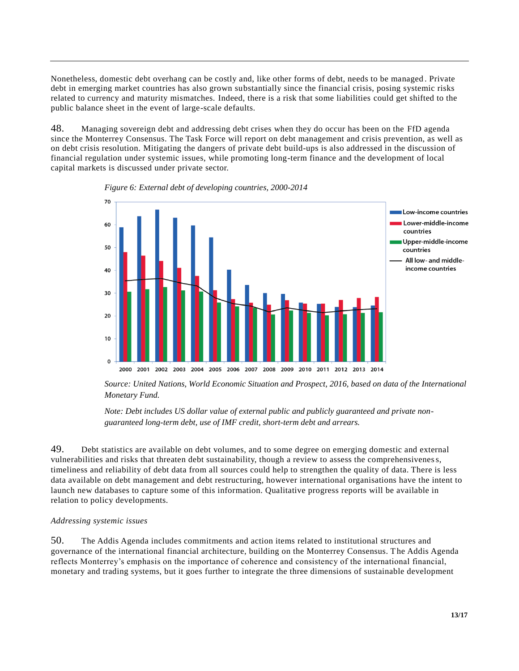Nonetheless, domestic debt overhang can be costly and, like other forms of debt, needs to be managed . Private debt in emerging market countries has also grown substantially since the financial crisis, posing systemic risks related to currency and maturity mismatches. Indeed, there is a risk that some liabilities could get shifted to the public balance sheet in the event of large-scale defaults.

48. Managing sovereign debt and addressing debt crises when they do occur has been on the FfD agenda since the Monterrey Consensus. The Task Force will report on debt management and crisis prevention, as well as on debt crisis resolution. Mitigating the dangers of private debt build-ups is also addressed in the discussion of financial regulation under systemic issues, while promoting long-term finance and the development of local capital markets is discussed under private sector.



*Figure 6: External debt of developing countries, 2000-2014*

*Source: United Nations, World Economic Situation and Prospect, 2016, based on data of the International Monetary Fund.*

*Note: Debt includes US dollar value of external public and publicly guaranteed and private nonguaranteed long-term debt, use of IMF credit, short-term debt and arrears.*

49. Debt statistics are available on debt volumes, and to some degree on emerging domestic and external vulnerabilities and risks that threaten debt sustainability, though a review to assess the comprehensiveness, timeliness and reliability of debt data from all sources could help to strengthen the quality of data. There is less data available on debt management and debt restructuring, however international organisations have the intent to launch new databases to capture some of this information. Qualitative progress reports will be available in relation to policy developments.

#### *Addressing systemic issues*

50. The Addis Agenda includes commitments and action items related to institutional structures and governance of the international financial architecture, building on the Monterrey Consensus. The Addis Agenda reflects Monterrey's emphasis on the importance of coherence and consistency of the international financial, monetary and trading systems, but it goes further to integrate the three dimensions of sustainable development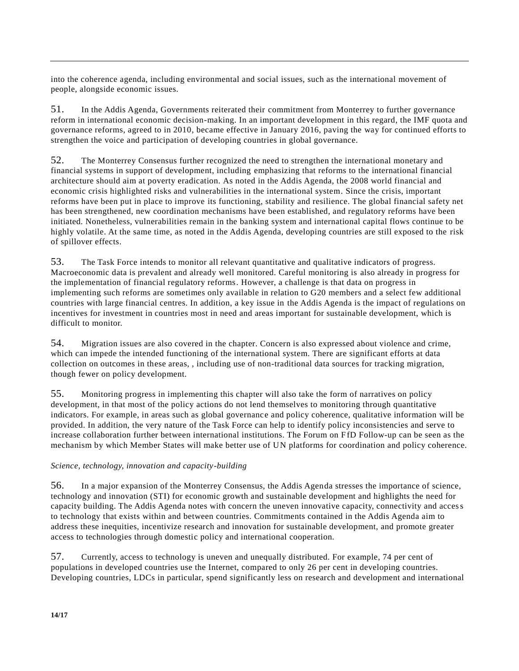into the coherence agenda, including environmental and social issues, such as the international movement of people, alongside economic issues.

51. In the Addis Agenda, Governments reiterated their commitment from Monterrey to further governance reform in international economic decision-making. In an important development in this regard, the IMF quota and governance reforms, agreed to in 2010, became effective in January 2016, paving the way for continued efforts to strengthen the voice and participation of developing countries in global governance.

52. The Monterrey Consensus further recognized the need to strengthen the international monetary and financial systems in support of development, including emphasizing that reforms to the international financial architecture should aim at poverty eradication. As noted in the Addis Agenda, the 2008 world financial and economic crisis highlighted risks and vulnerabilities in the international system. Since the crisis, important reforms have been put in place to improve its functioning, stability and resilience. The global financial safety net has been strengthened, new coordination mechanisms have been established, and regulatory reforms have been initiated. Nonetheless, vulnerabilities remain in the banking system and international capital flows continue to be highly volatile. At the same time, as noted in the Addis Agenda, developing countries are still exposed to the risk of spillover effects.

53. The Task Force intends to monitor all relevant quantitative and qualitative indicators of progress. Macroeconomic data is prevalent and already well monitored. Careful monitoring is also already in progress for the implementation of financial regulatory reforms. However, a challenge is that data on progress in implementing such reforms are sometimes only available in relation to G20 members and a select few additional countries with large financial centres. In addition, a key issue in the Addis Agenda is the impact of regulations on incentives for investment in countries most in need and areas important for sustainable development, which is difficult to monitor.

54. Migration issues are also covered in the chapter. Concern is also expressed about violence and crime, which can impede the intended functioning of the international system. There are significant efforts at data collection on outcomes in these areas, , including use of non-traditional data sources for tracking migration, though fewer on policy development.

55. Monitoring progress in implementing this chapter will also take the form of narratives on policy development, in that most of the policy actions do not lend themselves to monitoring through quantitative indicators. For example, in areas such as global governance and policy coherence, qualitative information will be provided. In addition, the very nature of the Task Force can help to identify policy inconsistencies and serve to increase collaboration further between international institutions. The Forum on FfD Follow-up can be seen as the mechanism by which Member States will make better use of UN platforms for coordination and policy coherence.

### *Science, technology, innovation and capacity-building*

56. In a major expansion of the Monterrey Consensus, the Addis Agenda stresses the importance of science, technology and innovation (STI) for economic growth and sustainable development and highlights the need for capacity building. The Addis Agenda notes with concern the uneven innovative capacity, connectivity and access to technology that exists within and between countries. Commitments contained in the Addis Agenda aim to address these inequities, incentivize research and innovation for sustainable development, and promote greater access to technologies through domestic policy and international cooperation.

57. Currently, access to technology is uneven and unequally distributed. For example, 74 per cent of populations in developed countries use the Internet, compared to only 26 per cent in developing countries. Developing countries, LDCs in particular, spend significantly less on research and development and international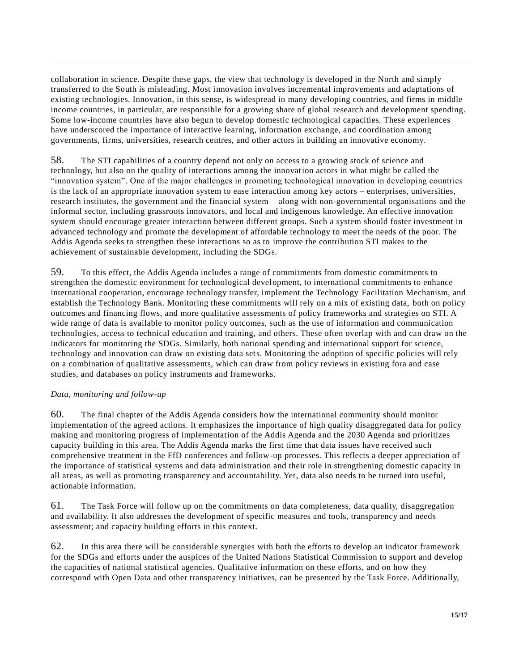collaboration in science. Despite these gaps, the view that technology is developed in the North and simply transferred to the South is misleading. Most innovation involves incremental improvements and adaptations of existing technologies. Innovation, in this sense, is widespread in many developing countries, and firms in middle income countries, in particular, are responsible for a growing share of global research and development spending. Some low-income countries have also begun to develop domestic technological capacities. These experiences have underscored the importance of interactive learning, information exchange, and coordination among governments, firms, universities, research centres, and other actors in building an innovative economy.

58. The STI capabilities of a country depend not only on access to a growing stock of science and technology, but also on the quality of interactions among the innovation actors in what might be called the "innovation system". One of the major challenges in promoting technological innovation in developing countries is the lack of an appropriate innovation system to ease interaction among key actors – enterprises, universities, research institutes, the government and the financial system – along with non-governmental organisations and the informal sector, including grassroots innovators, and local and indigenous knowledge. An effective innovation system should encourage greater interaction between different groups. Such a system should foster investment in advanced technology and promote the development of affordable technology to meet the needs of the poor. The Addis Agenda seeks to strengthen these interactions so as to improve the contribution STI makes to the achievement of sustainable development, including the SDGs.

59. To this effect, the Addis Agenda includes a range of commitments from domestic commitments to strengthen the domestic environment for technological development, to international commitments to enhance international cooperation, encourage technology transfer, implement the Technology Facilitation Mechanism, and establish the Technology Bank. Monitoring these commitments will rely on a mix of existing data, both on policy outcomes and financing flows, and more qualitative assessments of policy frameworks and strategies on STI. A wide range of data is available to monitor policy outcomes, such as the use of information and communication technologies, access to technical education and training, and others. These often overlap with and can draw on the indicators for monitoring the SDGs. Similarly, both national spending and international support for science, technology and innovation can draw on existing data sets. Monitoring the adoption of specific policies will rely on a combination of qualitative assessments, which can draw from policy reviews in existing fora and case studies, and databases on policy instruments and frameworks.

### *Data, monitoring and follow-up*

60. The final chapter of the Addis Agenda considers how the international community should monitor implementation of the agreed actions. It emphasizes the importance of high quality disaggregated data for policy making and monitoring progress of implementation of the Addis Agenda and the 2030 Agenda and prioritizes capacity building in this area. The Addis Agenda marks the first time that data issues have received such comprehensive treatment in the FfD conferences and follow-up processes. This reflects a deeper appreciation of the importance of statistical systems and data administration and their role in strengthening domestic capacity in all areas, as well as promoting transparency and accountability. Yet, data also needs to be turned into useful, actionable information.

61. The Task Force will follow up on the commitments on data completeness, data quality, disaggregation and availability. It also addresses the development of specific measures and tools, transparency and needs assessment; and capacity building efforts in this context.

62. In this area there will be considerable synergies with both the efforts to develop an indicator framework for the SDGs and efforts under the auspices of the United Nations Statistical Commission to support and develop the capacities of national statistical agencies. Qualitative information on these efforts, and on how they correspond with Open Data and other transparency initiatives, can be presented by the Task Force. Additionally,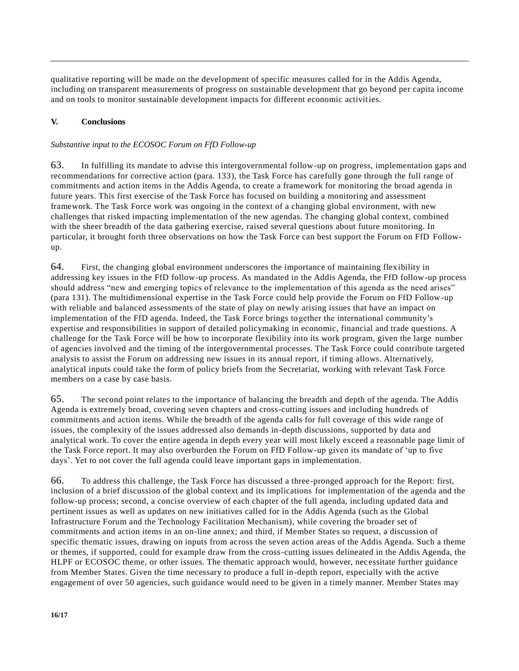qualitative reporting will be made on the development of specific measures called for in the Addis Agenda, including on transparent measurements of progress on sustainable development that go beyond per capita income and on tools to monitor sustainable development impacts for different economic activities.

# **V. Conclusions**

# *Substantive input to the ECOSOC Forum on FfD Follow-up*

63. In fulfilling its mandate to advise this intergovernmental follow-up on progress, implementation gaps and recommendations for corrective action (para. 133), the Task Force has carefully gone through the full range of commitments and action items in the Addis Agenda, to create a framework for monitoring the broad agenda in future years. This first exercise of the Task Force has focused on building a monitoring and assessment framework. The Task Force work was ongoing in the context of a changing global environment, with new challenges that risked impacting implementation of the new agendas. The changing global context, combined with the sheer breadth of the data gathering exercise, raised several questions about future monitoring. In particular, it brought forth three observations on how the Task Force can best support the Forum on FfD Followup.

64. First, the changing global environment underscores the importance of maintaining flex ibility in addressing key issues in the FfD follow-up process. As mandated in the Addis Agenda, the FfD follow-up process should address "new and emerging topics of relevance to the implementation of this agenda as the need arises" (para 131). The multidimensional expertise in the Task Force could help provide the Forum on FfD Follow-up with reliable and balanced assessments of the state of play on newly arising issues that have an impact on implementation of the FfD agenda. Indeed, the Task Force brings together the international community's expertise and responsibilities in support of detailed policymaking in economic, financial and trade questions. A challenge for the Task Force will be how to incorporate flexibility into its work program, given the large number of agencies involved and the timing of the intergovernmental processes. The Task Force could contribute targeted analysis to assist the Forum on addressing new issues in its annual report, if timing allows. Alternatively, analytical inputs could take the form of policy briefs from the Secretariat, working with relevant Task Force members on a case by case basis.

65. The second point relates to the importance of balancing the breadth and depth of the agenda. The Addis Agenda is extremely broad, covering seven chapters and cross-cutting issues and including hundreds of commitments and action items. While the breadth of the agenda calls for full coverage of this wide range of issues, the complexity of the issues addressed also demands in-depth discussions, supported by data and analytical work. To cover the entire agenda in depth every year will most likely exceed a reasonable page limit of the Task Force report. It may also overburden the Forum on FfD Follow-up given its mandate of 'up to five days'. Yet to not cover the full agenda could leave important gaps in implementation.

66. To address this challenge, the Task Force has discussed a three-pronged approach for the Report: first, inclusion of a brief discussion of the global context and its implications for implementation of the agenda and the follow-up process; second, a concise overview of each chapter of the full agenda, including updated data and pertinent issues as well as updates on new initiatives called for in the Addis Agenda (such as the Global Infrastructure Forum and the Technology Facilitation Mechanism), while covering the broader set of commitments and action items in an on-line annex; and third, if Member States so request, a discussion of specific thematic issues, drawing on inputs from across the seven action areas of the Addis Agenda. Such a theme or themes, if supported, could for example draw from the cross-cutting issues delineated in the Addis Agenda, the HLPF or ECOSOC theme, or other issues. The thematic approach would, however, nec essitate further guidance from Member States. Given the time necessary to produce a full in-depth report, especially with the active engagement of over 50 agencies, such guidance would need to be given in a timely manner. Member States may